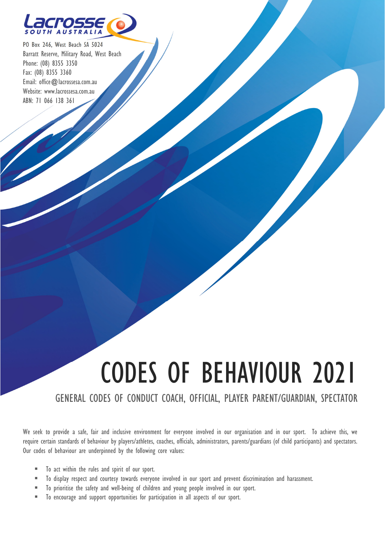

PO Box 246, West Beach SA 5024 Barratt Reserve, Military Road, West Beach Phone: (08) 8355 3350 Fax: (08) 8355 3360 Email: office@lacrossesa.com.au Website: www.lacrossesa.com.au ABN: 71 066 138 361

 $\overline{\phantom{a}}$ J

# CODES OF BEHAVIOUR 2021

#### GENERAL CODES OF CONDUCT COACH, OFFICIAL, PLAYER PARENT/GUARDIAN, SPECTATOR

We seek to provide a safe, fair and inclusive environment for everyone involved in our organisation and in our sport. To achieve this, we require certain standards of behaviour by players/athletes, coaches, officials, administrators, parents/guardians (of child participants) and spectators. Our codes of behaviour are underpinned by the following core values:

- $\blacksquare$  To act within the rules and spirit of our sport.
- To display respect and courtesy towards everyone involved in our sport and prevent discrimination and harassment.
- To prioritise the safety and well-being of children and young people involved in our sport.
- To encourage and support opportunities for participation in all aspects of our sport.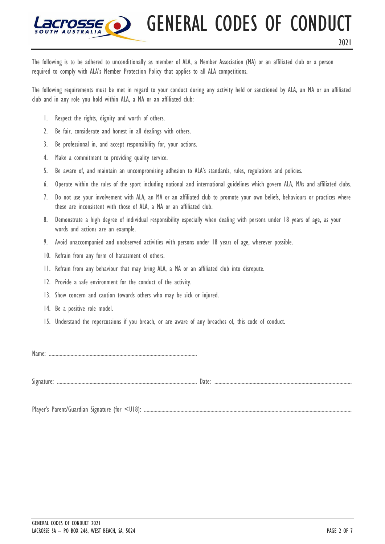GENERAL CODES OF CONDUCT

2021

The following is to be adhered to unconditionally as member of ALA, a Member Association (MA) or an affiliated club or a person required to comply with ALA's Member Protection Policy that applies to all ALA competitions.

The following requirements must be met in regard to your conduct during any activity held or sanctioned by ALA, an MA or an affiliated club and in any role you hold within ALA, a MA or an affiliated club:

- 1. Respect the rights, dignity and worth of others.
- 2. Be fair, considerate and honest in all dealings with others.
- 3. Be professional in, and accept responsibility for, your actions.
- 4. Make a commitment to providing quality service.
- 5. Be aware of, and maintain an uncompromising adhesion to ALA's standards, rules, regulations and policies.
- 6. Operate within the rules of the sport including national and international guidelines which govern ALA, MAs and affiliated clubs.
- 7. Do not use your involvement with ALA, an MA or an affiliated club to promote your own beliefs, behaviours or practices where these are inconsistent with those of ALA, a MA or an affiliated club.
- 8. Demonstrate a high degree of individual responsibility especially when dealing with persons under 18 years of age, as your words and actions are an example.
- 9. Avoid unaccompanied and unobserved activities with persons under 18 years of age, wherever possible.
- 10. Refrain from any form of harassment of others.
- 11. Refrain from any behaviour that may bring ALA, a MA or an affiliated club into disrepute.
- 12. Provide a safe environment for the conduct of the activity.
- 13. Show concern and caution towards others who may be sick or injured.
- 14. Be a positive role model.
- 15. Understand the repercussions if you breach, or are aware of any breaches of, this code of conduct.

Name: .............................................................................................................

Signature: .......................................................................................................Date: .....................................................................................................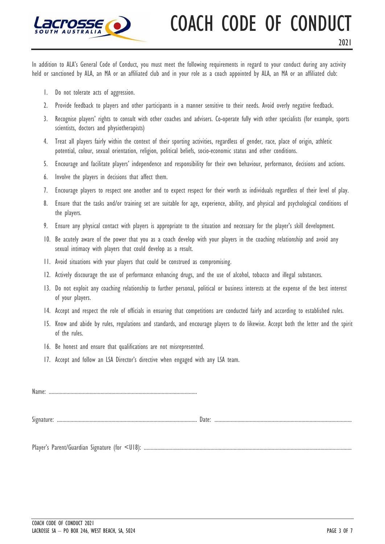

### COACH CODE OF CONDUCT

In addition to ALA's General Code of Conduct, you must meet the following requirements in regard to your conduct during any activity held or sanctioned by ALA, an MA or an affiliated club and in your role as a coach appointed by ALA, an MA or an affiliated club:

- 1. Do not tolerate acts of aggression.
- 2. Provide feedback to players and other participants in a manner sensitive to their needs. Avoid overly negative feedback.
- 3. Recognise players' rights to consult with other coaches and advisers. Co-operate fully with other specialists (for example, sports scientists, doctors and physiotherapists)
- 4. Treat all players fairly within the context of their sporting activities, regardless of gender, race, place of origin, athletic potential, colour, sexual orientation, religion, political beliefs, socio-economic status and other conditions.
- 5. Encourage and facilitate players' independence and responsibility for their own behaviour, performance, decisions and actions.
- 6. Involve the players in decisions that affect them.
- 7. Encourage players to respect one another and to expect respect for their worth as individuals regardless of their level of play.
- 8. Ensure that the tasks and/or training set are suitable for age, experience, ability, and physical and psychological conditions of the players.
- 9. Ensure any physical contact with players is appropriate to the situation and necessary for the player's skill development.
- 10. Be acutely aware of the power that you as a coach develop with your players in the coaching relationship and avoid any sexual intimacy with players that could develop as a result.
- 11. Avoid situations with your players that could be construed as compromising.
- 12. Actively discourage the use of performance enhancing drugs, and the use of alcohol, tobacco and illegal substances.
- 13. Do not exploit any coaching relationship to further personal, political or business interests at the expense of the best interest of your players.
- 14. Accept and respect the role of officials in ensuring that competitions are conducted fairly and according to established rules.
- 15. Know and abide by rules, regulations and standards, and encourage players to do likewise. Accept both the letter and the spirit of the rules.
- 16. Be honest and ensure that qualifications are not misrepresented.
- 17. Accept and follow an LSA Director's directive when engaged with any LSA team.

| Name: |  |
|-------|--|
|       |  |
|       |  |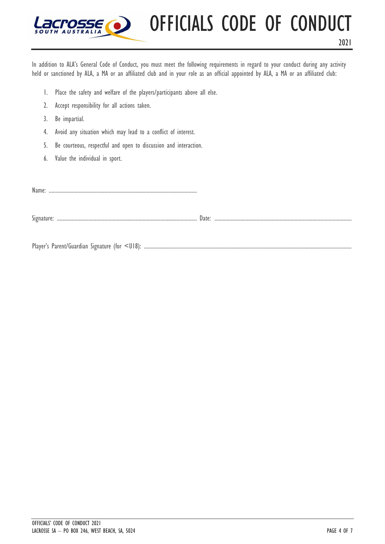

2021

In addition to ALA's General Code of Conduct, you must meet the following requirements in regard to your conduct during any activity held or sanctioned by ALA, a MA or an affiliated club and in your role as an official appointed by ALA, a MA or an affiliated club:

- 1. Place the safety and welfare of the players/participants above all else.
- 2. Accept responsibility for all actions taken.
- 3. Be impartial.
- 4. Avoid any situation which may lead to a conflict of interest.
- 5. Be courteous, respectful and open to discussion and interaction.
- 6. Value the individual in sport.

Name: .............................................................................................................

Signature: .......................................................................................................Date: .....................................................................................................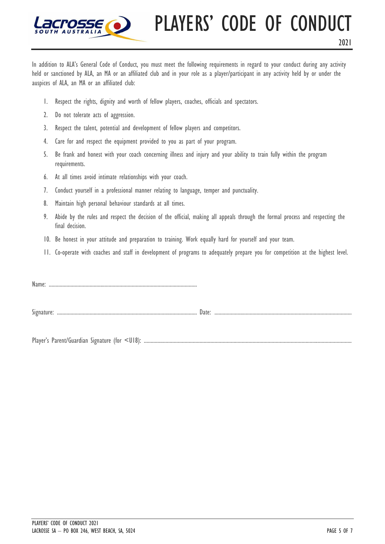

### PLAYERS' CODE OF CONDUCT

In addition to ALA's General Code of Conduct, you must meet the following requirements in regard to your conduct during any activity held or sanctioned by ALA, an MA or an affiliated club and in your role as a player/participant in any activity held by or under the auspices of ALA, an MA or an affiliated club:

- 1. Respect the rights, dignity and worth of fellow players, coaches, officials and spectators.
- 2. Do not tolerate acts of aggression.
- 3. Respect the talent, potential and development of fellow players and competitors.
- 4. Care for and respect the equipment provided to you as part of your program.
- 5. Be frank and honest with your coach concerning illness and injury and your ability to train fully within the program requirements.
- 6. At all times avoid intimate relationships with your coach.
- 7. Conduct yourself in a professional manner relating to language, temper and punctuality.
- 8. Maintain high personal behaviour standards at all times.
- 9. Abide by the rules and respect the decision of the official, making all appeals through the formal process and respecting the final decision.
- 10. Be honest in your attitude and preparation to training. Work equally hard for yourself and your team.
- 11. Co-operate with coaches and staff in development of programs to adequately prepare you for competition at the highest level.

Name: .............................................................................................................

Signature: .......................................................................................................Date: .....................................................................................................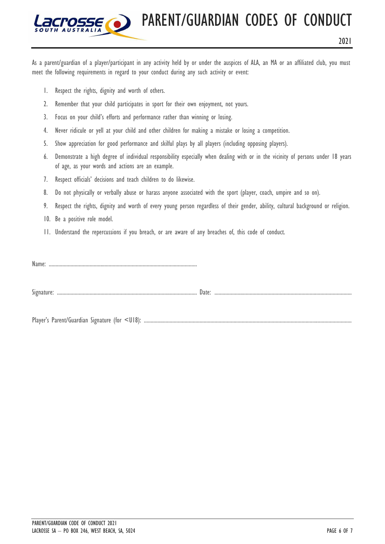PARENT/GUARDIAN CODES OF CONDUCT

2021

As a parent/guardian of a player/participant in any activity held by or under the auspices of ALA, an MA or an affiliated club, you must meet the following requirements in regard to your conduct during any such activity or event:

- 1. Respect the rights, dignity and worth of others.
- 2. Remember that your child participates in sport for their own enjoyment, not yours.
- 3. Focus on your child's efforts and performance rather than winning or losing.
- 4. Never ridicule or yell at your child and other children for making a mistake or losing a competition.
- 5. Show appreciation for good performance and skilful plays by all players (including opposing players).
- 6. Demonstrate a high degree of individual responsibility especially when dealing with or in the vicinity of persons under 18 years of age, as your words and actions are an example.
- 7. Respect officials' decisions and teach children to do likewise.
- 8. Do not physically or verbally abuse or harass anyone associated with the sport (player, coach, umpire and so on).
- 9. Respect the rights, dignity and worth of every young person regardless of their gender, ability, cultural background or religion.
- 10. Be a positive role model.
- 11. Understand the repercussions if you breach, or are aware of any breaches of, this code of conduct.